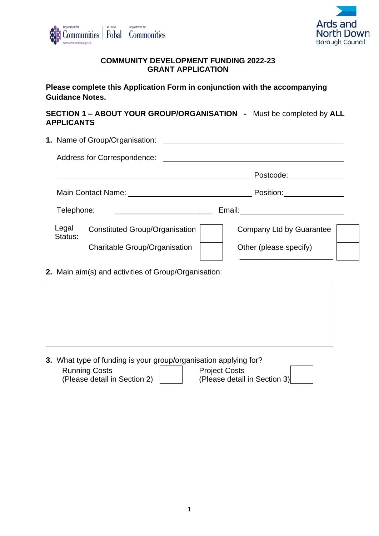



### **COMMUNITY DEVELOPMENT FUNDING 2022-23 GRANT APPLICATION**

**Please complete this Application Form in conjunction with the accompanying Guidance Notes.**

**SECTION 1 – ABOUT YOUR GROUP/ORGANISATION -** Must be completed by **ALL APPLICANTS**

|                  | 1. Name of Group/Organisation:        | <u> 1980 - Jan Samuel Barbara, martin da shekara 1980 - An tsa a tsa a tsa a tsa a tsa a tsa a tsa a tsa a tsa a</u> |  |
|------------------|---------------------------------------|----------------------------------------------------------------------------------------------------------------------|--|
|                  |                                       |                                                                                                                      |  |
|                  |                                       | Postcode: and the postcode:                                                                                          |  |
|                  |                                       | Position:                                                                                                            |  |
| Telephone:       |                                       | Email: <u>__________</u>                                                                                             |  |
| Legal<br>Status: | <b>Constituted Group/Organisation</b> | Company Ltd by Guarantee                                                                                             |  |
|                  | <b>Charitable Group/Organisation</b>  | Other (please specify)                                                                                               |  |
|                  |                                       |                                                                                                                      |  |

**2.** Main aim(s) and activities of Group/Organisation:

**3.** What type of funding is your group/organisation applying for?

| <b>Running Costs</b>         | <b>Project Costs</b>         |
|------------------------------|------------------------------|
| (Please detail in Section 2) | (Please detail in Section 3) |

1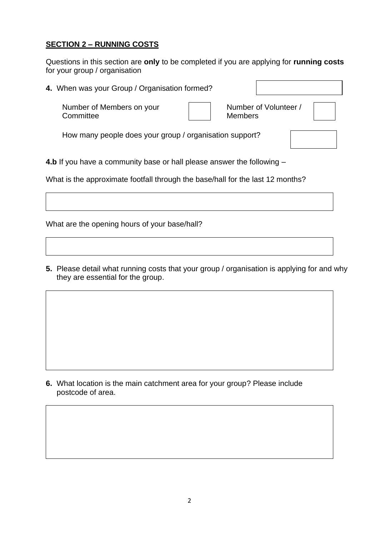### **SECTION 2 – RUNNING COSTS**

Questions in this section are **only** to be completed if you are applying for **running costs** for your group / organisation

**4.** When was your Group / Organisation formed? **4.b** If you have a community base or hall please answer the following – Number of Members on your **Committee** Number of Volunteer / **Members** How many people does your group / organisation support?

What is the approximate footfall through the base/hall for the last 12 months?

What are the opening hours of your base/hall?

**5.** Please detail what running costs that your group / organisation is applying for and why they are essential for the group.

**6.** What location is the main catchment area for your group? Please include postcode of area.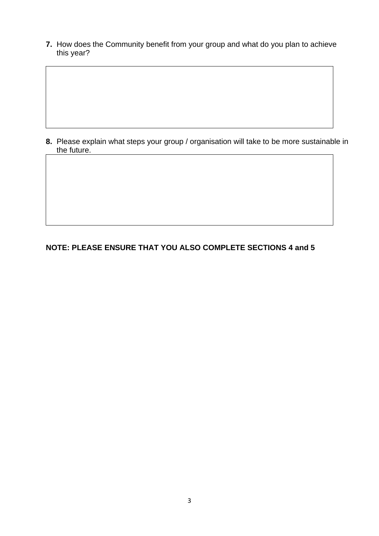**7.** How does the Community benefit from your group and what do you plan to achieve this year?

**8.** Please explain what steps your group / organisation will take to be more sustainable in the future.

# **NOTE: PLEASE ENSURE THAT YOU ALSO COMPLETE SECTIONS 4 and 5**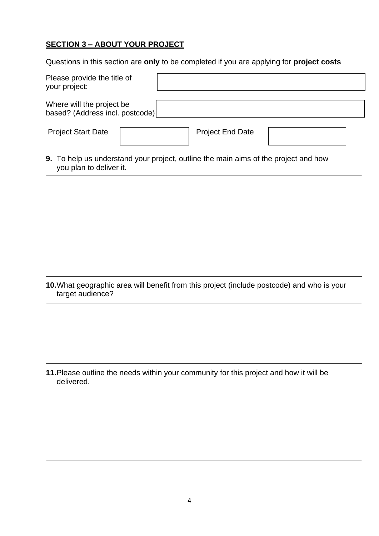# **SECTION 3 – ABOUT YOUR PROJECT**

Questions in this section are **only** to be completed if you are applying for **project costs**

| Please provide the title of<br>your project:                 |  |
|--------------------------------------------------------------|--|
| Where will the project be<br>based? (Address incl. postcode) |  |

Project Start Date **Project End Date** 

**9.** To help us understand your project, outline the main aims of the project and how you plan to deliver it.

**10.**What geographic area will benefit from this project (include postcode) and who is your target audience?

**11.**Please outline the needs within your community for this project and how it will be delivered.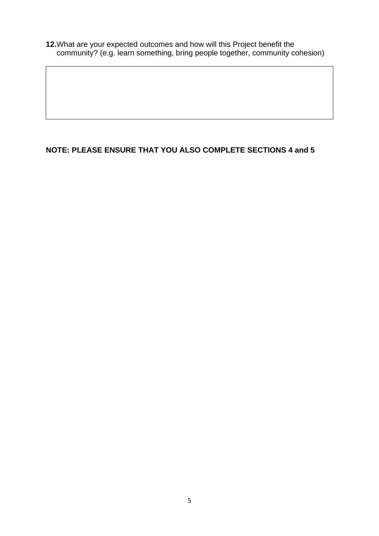**12.**What are your expected outcomes and how will this Project benefit the community? (e.g. learn something, bring people together, community cohesion)

# **NOTE: PLEASE ENSURE THAT YOU ALSO COMPLETE SECTIONS 4 and 5**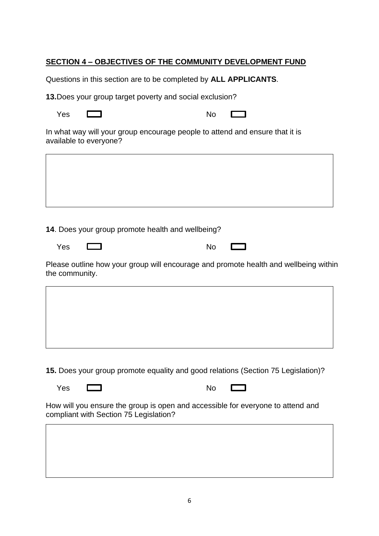## **SECTION 4 – OBJECTIVES OF THE COMMUNITY DEVELOPMENT FUND**

Questions in this section are to be completed by **ALL APPLICANTS**.

**13.**Does your group target poverty and social exclusion?

| No |
|----|
|    |
|    |

 $\Box$ 

In what way will your group encourage people to attend and ensure that it is available to everyone?



**14**. Does your group promote health and wellbeing?

| No |
|----|
|    |
|    |

 $\Box$ 

Please outline how your group will encourage and promote health and wellbeing within the community.

**15.** Does your group promote equality and good relations (Section 75 Legislation)?

Yes **Internal Contract Contract Contract Contract Contract Contract Contract Contract Contract Contract Contract** 

How will you ensure the group is open and accessible for everyone to attend and compliant with Section 75 Legislation?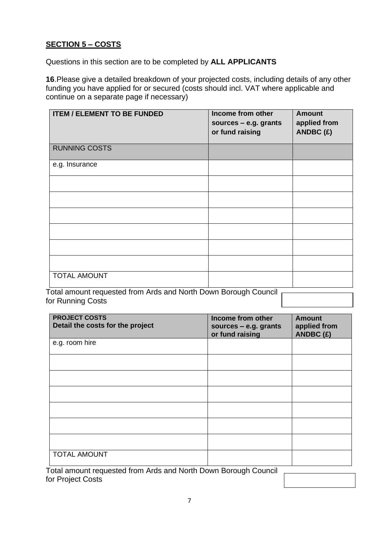# **SECTION 5 – COSTS**

Questions in this section are to be completed by **ALL APPLICANTS** 

**16**.Please give a detailed breakdown of your projected costs, including details of any other funding you have applied for or secured (costs should incl. VAT where applicable and continue on a separate page if necessary)

| <b>ITEM / ELEMENT TO BE FUNDED</b> | Income from other<br>sources - e.g. grants<br>or fund raising | <b>Amount</b><br>applied from<br>ANDBC $(E)$ |
|------------------------------------|---------------------------------------------------------------|----------------------------------------------|
| <b>RUNNING COSTS</b>               |                                                               |                                              |
| e.g. Insurance                     |                                                               |                                              |
|                                    |                                                               |                                              |
|                                    |                                                               |                                              |
|                                    |                                                               |                                              |
|                                    |                                                               |                                              |
|                                    |                                                               |                                              |
|                                    |                                                               |                                              |
| TOTAL AMOUNT                       |                                                               |                                              |

Total amount requested from Ards and North Down Borough Council for Running Costs

| <b>PROJECT COSTS</b><br>Detail the costs for the project                                           | Income from other<br>sources $-$ e.g. grants<br>or fund raising | <b>Amount</b><br>applied from<br>ANDBC (£) |
|----------------------------------------------------------------------------------------------------|-----------------------------------------------------------------|--------------------------------------------|
| e.g. room hire                                                                                     |                                                                 |                                            |
|                                                                                                    |                                                                 |                                            |
|                                                                                                    |                                                                 |                                            |
|                                                                                                    |                                                                 |                                            |
|                                                                                                    |                                                                 |                                            |
|                                                                                                    |                                                                 |                                            |
|                                                                                                    |                                                                 |                                            |
| <b>TOTAL AMOUNT</b><br>Fetal apparent pagusantagl fugue Angla angel Naptle Darma Danarrak Carpacil |                                                                 |                                            |

Total amount requested from Ards and North Down Borough Council for Project Costs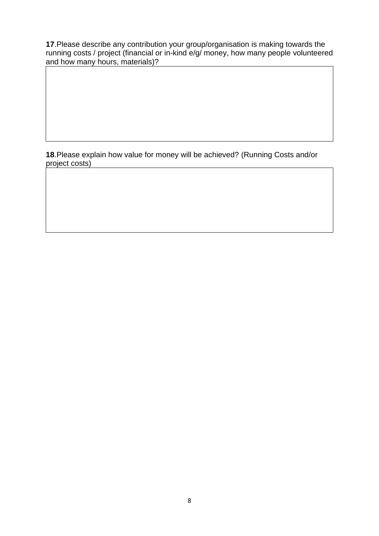**17**.Please describe any contribution your group/organisation is making towards the running costs / project (financial or in-kind e/g/ money, how many people volunteered and how many hours, materials)?

**18**.Please explain how value for money will be achieved? (Running Costs and/or project costs)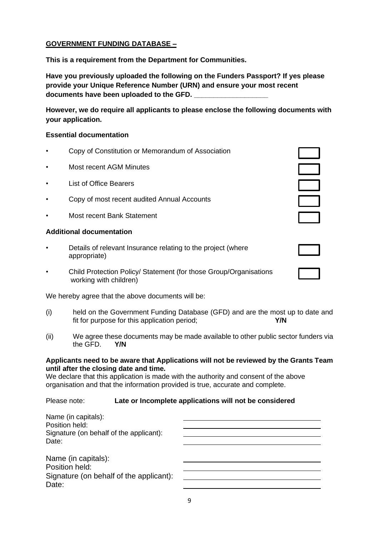#### **GOVERNMENT FUNDING DATABASE –**

**This is a requirement from the Department for Communities.**

**Have you previously uploaded the following on the Funders Passport? If yes please provide your Unique Reference Number (URN) and ensure your most recent documents have been uploaded to the GFD. \_\_\_\_\_\_\_\_\_\_\_\_\_\_\_\_\_\_\_**

**However, we do require all applicants to please enclose the following documents with your application.**

#### **Essential documentation**

- Copy of Constitution or Memorandum of Association
- Most recent AGM Minutes
- **List of Office Bearers**
- Copy of most recent audited Annual Accounts
- Most recent Bank Statement

#### **Additional documentation**

- Details of relevant Insurance relating to the project (where appropriate)
- Child Protection Policy/ Statement (for those Group/Organisations working with children)

We hereby agree that the above documents will be:

- (i) held on the Government Funding Database (GFD) and are the most up to date and fit for purpose for this application period; **Y/N**
- (ii) We agree these documents may be made available to other public sector funders via the GFD. **Y/N**

#### **Applicants need to be aware that Applications will not be reviewed by the Grants Team until after the closing date and time.**

We declare that this application is made with the authority and consent of the above organisation and that the information provided is true, accurate and complete.

#### Please note: **Late or Incomplete applications will not be considered**

| Name (in capitals):<br>Position held:                                                     |  |
|-------------------------------------------------------------------------------------------|--|
| Signature (on behalf of the applicant):<br>Date:                                          |  |
| Name (in capitals):<br>Position held:<br>Signature (on behalf of the applicant):<br>Date: |  |

| $\mathbb{R}^2$ |  |
|----------------|--|
| $\mathbb{R}^2$ |  |
|                |  |
|                |  |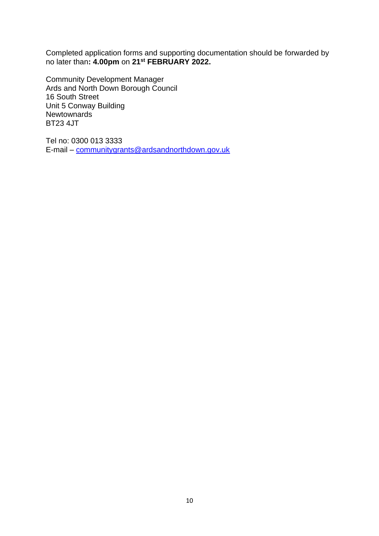Completed application forms and supporting documentation should be forwarded by no later than**: 4.00pm** on **21 st FEBRUARY 2022.**

Community Development Manager Ards and North Down Borough Council 16 South Street Unit 5 Conway Building **Newtownards** BT23 4JT

Tel no: 0300 013 3333 E-mail – [communitygrants@ardsandnorthdown.gov.uk](mailto:communitygrants@ardsandnorthdown.gov.uk)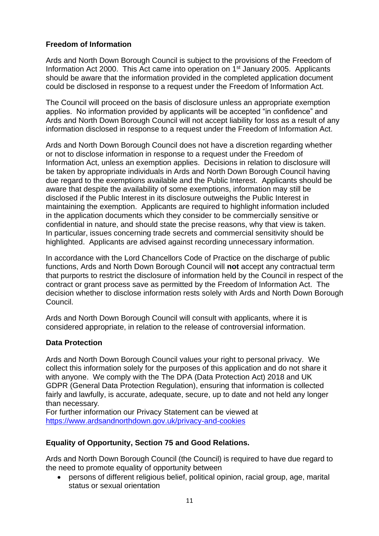## **Freedom of Information**

Ards and North Down Borough Council is subject to the provisions of the Freedom of Information Act 2000. This Act came into operation on 1<sup>st</sup> January 2005. Applicants should be aware that the information provided in the completed application document could be disclosed in response to a request under the Freedom of Information Act.

The Council will proceed on the basis of disclosure unless an appropriate exemption applies. No information provided by applicants will be accepted "in confidence" and Ards and North Down Borough Council will not accept liability for loss as a result of any information disclosed in response to a request under the Freedom of Information Act.

Ards and North Down Borough Council does not have a discretion regarding whether or not to disclose information in response to a request under the Freedom of Information Act, unless an exemption applies. Decisions in relation to disclosure will be taken by appropriate individuals in Ards and North Down Borough Council having due regard to the exemptions available and the Public Interest. Applicants should be aware that despite the availability of some exemptions, information may still be disclosed if the Public Interest in its disclosure outweighs the Public Interest in maintaining the exemption. Applicants are required to highlight information included in the application documents which they consider to be commercially sensitive or confidential in nature, and should state the precise reasons, why that view is taken. In particular, issues concerning trade secrets and commercial sensitivity should be highlighted. Applicants are advised against recording unnecessary information.

In accordance with the Lord Chancellors Code of Practice on the discharge of public functions, Ards and North Down Borough Council will **not** accept any contractual term that purports to restrict the disclosure of information held by the Council in respect of the contract or grant process save as permitted by the Freedom of Information Act. The decision whether to disclose information rests solely with Ards and North Down Borough Council.

Ards and North Down Borough Council will consult with applicants, where it is considered appropriate, in relation to the release of controversial information.

### **Data Protection**

Ards and North Down Borough Council values your right to personal privacy. We collect this information solely for the purposes of this application and do not share it with anyone. We comply with the The DPA (Data Protection Act) 2018 and UK GDPR (General Data Protection Regulation), ensuring that information is collected fairly and lawfully, is accurate, adequate, secure, up to date and not held any longer than necessary**.** 

For further information our Privacy Statement can be viewed at [https://www.ardsandnorthdown.gov.uk/privacy-and-cookies](https://eur01.safelinks.protection.outlook.com/?url=https%3A%2F%2Fwww.ardsandnorthdown.gov.uk%2Fprivacy-and-cookies&data=04%7C01%7Canne.lendrum%40ardsandnorthdown.gov.uk%7Cf720ee16c62c4f7d4c7708d9e00d3fb2%7C39416dee5c8e4f5cb59d05c4bd0dd472%7C0%7C0%7C637787169765990001%7CUnknown%7CTWFpbGZsb3d8eyJWIjoiMC4wLjAwMDAiLCJQIjoiV2luMzIiLCJBTiI6Ik1haWwiLCJXVCI6Mn0%3D%7C3000&sdata=BuZ76ilI40Ef%2B7Kk4E62iBYfc5pkLJFDmZD8Xs58Z98%3D&reserved=0)

# **Equality of Opportunity, Section 75 and Good Relations.**

Ards and North Down Borough Council (the Council) is required to have due regard to the need to promote equality of opportunity between

• persons of different religious belief, political opinion, racial group, age, marital status or sexual orientation